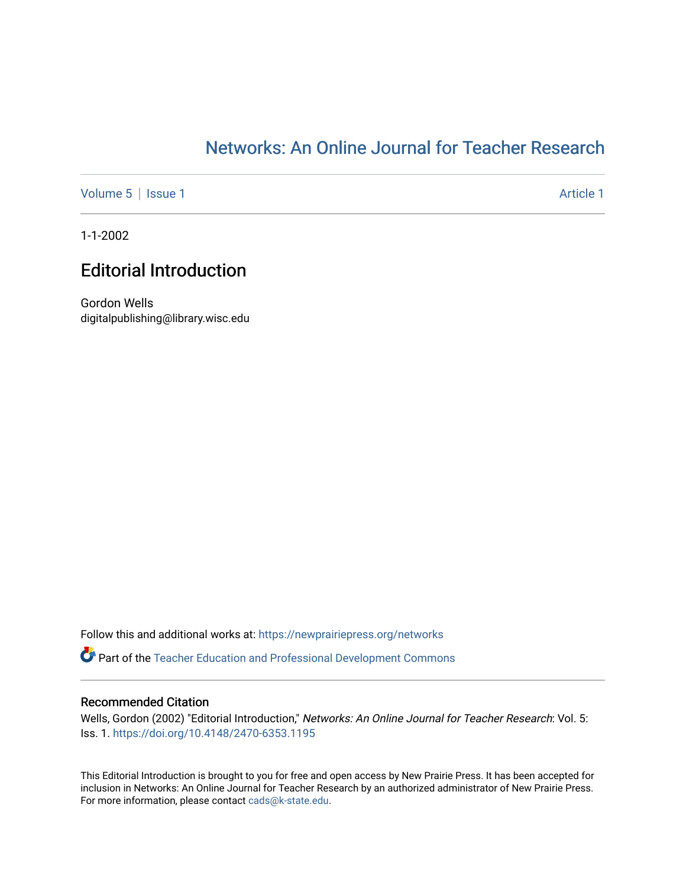## [Networks: An Online Journal for Teacher Research](https://newprairiepress.org/networks)

[Volume 5](https://newprairiepress.org/networks/vol5) | [Issue 1](https://newprairiepress.org/networks/vol5/iss1) Article 1

1-1-2002

## Editorial Introduction

Gordon Wells digitalpublishing@library.wisc.edu

Follow this and additional works at: [https://newprairiepress.org/networks](https://newprairiepress.org/networks?utm_source=newprairiepress.org%2Fnetworks%2Fvol5%2Fiss1%2F1&utm_medium=PDF&utm_campaign=PDFCoverPages)

**Part of the Teacher Education and Professional Development Commons** 

### Recommended Citation

Wells, Gordon (2002) "Editorial Introduction," Networks: An Online Journal for Teacher Research: Vol. 5: Iss. 1. <https://doi.org/10.4148/2470-6353.1195>

This Editorial Introduction is brought to you for free and open access by New Prairie Press. It has been accepted for inclusion in Networks: An Online Journal for Teacher Research by an authorized administrator of New Prairie Press. For more information, please contact [cads@k-state.edu.](mailto:cads@k-state.edu)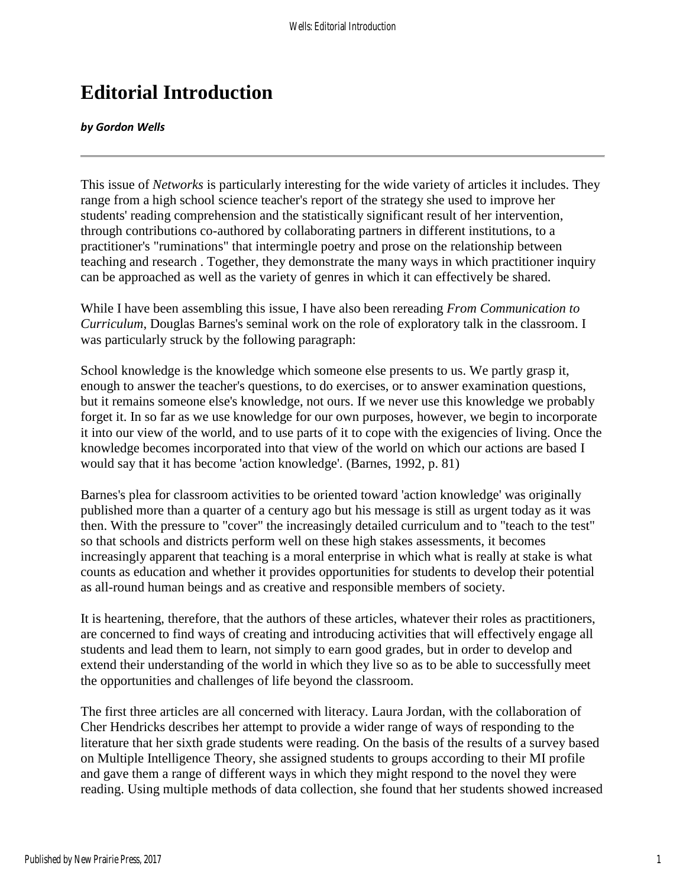# **Editorial Introduction**

#### *by Gordon Wells*

This issue of *Networks* is particularly interesting for the wide variety of articles it includes. They range from a high school science teacher's report of the strategy she used to improve her students' reading comprehension and the statistically significant result of her intervention, through contributions co-authored by collaborating partners in different institutions, to a practitioner's "ruminations" that intermingle poetry and prose on the relationship between teaching and research . Together, they demonstrate the many ways in which practitioner inquiry can be approached as well as the variety of genres in which it can effectively be shared.

While I have been assembling this issue, I have also been rereading *From Communication to Curriculum*, Douglas Barnes's seminal work on the role of exploratory talk in the classroom. I was particularly struck by the following paragraph:

School knowledge is the knowledge which someone else presents to us. We partly grasp it, enough to answer the teacher's questions, to do exercises, or to answer examination questions, but it remains someone else's knowledge, not ours. If we never use this knowledge we probably forget it. In so far as we use knowledge for our own purposes, however, we begin to incorporate it into our view of the world, and to use parts of it to cope with the exigencies of living. Once the knowledge becomes incorporated into that view of the world on which our actions are based I would say that it has become 'action knowledge'. (Barnes, 1992, p. 81)

Barnes's plea for classroom activities to be oriented toward 'action knowledge' was originally published more than a quarter of a century ago but his message is still as urgent today as it was then. With the pressure to "cover" the increasingly detailed curriculum and to "teach to the test" so that schools and districts perform well on these high stakes assessments, it becomes increasingly apparent that teaching is a moral enterprise in which what is really at stake is what counts as education and whether it provides opportunities for students to develop their potential as all-round human beings and as creative and responsible members of society.

It is heartening, therefore, that the authors of these articles, whatever their roles as practitioners, are concerned to find ways of creating and introducing activities that will effectively engage all students and lead them to learn, not simply to earn good grades, but in order to develop and extend their understanding of the world in which they live so as to be able to successfully meet the opportunities and challenges of life beyond the classroom.

The first three articles are all concerned with literacy. Laura Jordan, with the collaboration of Cher Hendricks describes her attempt to provide a wider range of ways of responding to the literature that her sixth grade students were reading. On the basis of the results of a survey based on Multiple Intelligence Theory, she assigned students to groups according to their MI profile and gave them a range of different ways in which they might respond to the novel they were reading. Using multiple methods of data collection, she found that her students showed increased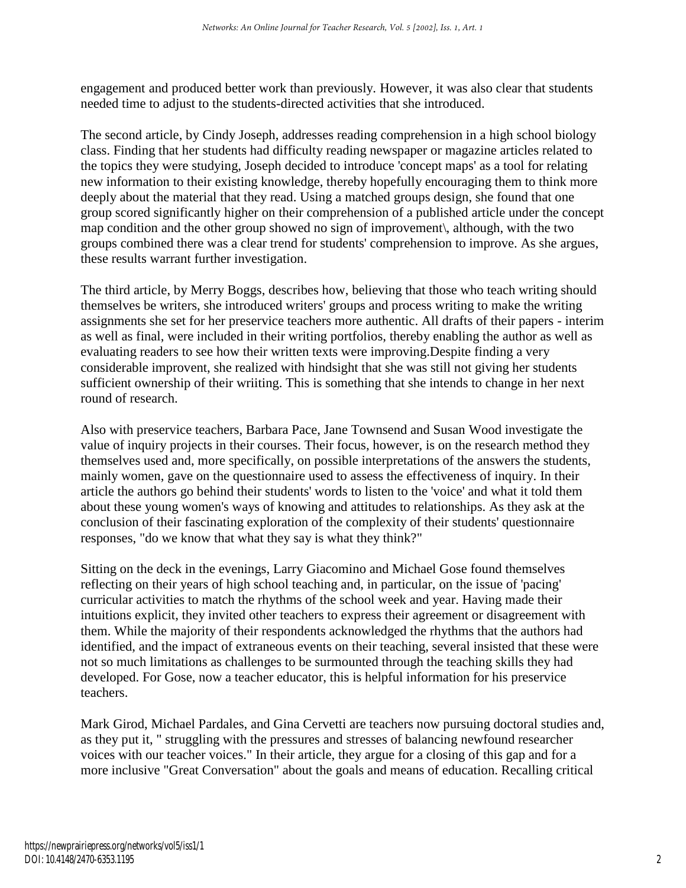engagement and produced better work than previously. However, it was also clear that students needed time to adjust to the students-directed activities that she introduced.

The second article, by Cindy Joseph, addresses reading comprehension in a high school biology class. Finding that her students had difficulty reading newspaper or magazine articles related to the topics they were studying, Joseph decided to introduce 'concept maps' as a tool for relating new information to their existing knowledge, thereby hopefully encouraging them to think more deeply about the material that they read. Using a matched groups design, she found that one group scored significantly higher on their comprehension of a published article under the concept map condition and the other group showed no sign of improvement\, although, with the two groups combined there was a clear trend for students' comprehension to improve. As she argues, these results warrant further investigation.

The third article, by Merry Boggs, describes how, believing that those who teach writing should themselves be writers, she introduced writers' groups and process writing to make the writing assignments she set for her preservice teachers more authentic. All drafts of their papers - interim as well as final, were included in their writing portfolios, thereby enabling the author as well as evaluating readers to see how their written texts were improving.Despite finding a very considerable improvent, she realized with hindsight that she was still not giving her students sufficient ownership of their wriiting. This is something that she intends to change in her next round of research.

Also with preservice teachers, Barbara Pace, Jane Townsend and Susan Wood investigate the value of inquiry projects in their courses. Their focus, however, is on the research method they themselves used and, more specifically, on possible interpretations of the answers the students, mainly women, gave on the questionnaire used to assess the effectiveness of inquiry. In their article the authors go behind their students' words to listen to the 'voice' and what it told them about these young women's ways of knowing and attitudes to relationships. As they ask at the conclusion of their fascinating exploration of the complexity of their students' questionnaire responses, "do we know that what they say is what they think?"

Sitting on the deck in the evenings, Larry Giacomino and Michael Gose found themselves reflecting on their years of high school teaching and, in particular, on the issue of 'pacing' curricular activities to match the rhythms of the school week and year. Having made their intuitions explicit, they invited other teachers to express their agreement or disagreement with them. While the majority of their respondents acknowledged the rhythms that the authors had identified, and the impact of extraneous events on their teaching, several insisted that these were not so much limitations as challenges to be surmounted through the teaching skills they had developed. For Gose, now a teacher educator, this is helpful information for his preservice teachers.

Mark Girod, Michael Pardales, and Gina Cervetti are teachers now pursuing doctoral studies and, as they put it, " struggling with the pressures and stresses of balancing newfound researcher voices with our teacher voices." In their article, they argue for a closing of this gap and for a more inclusive "Great Conversation" about the goals and means of education. Recalling critical